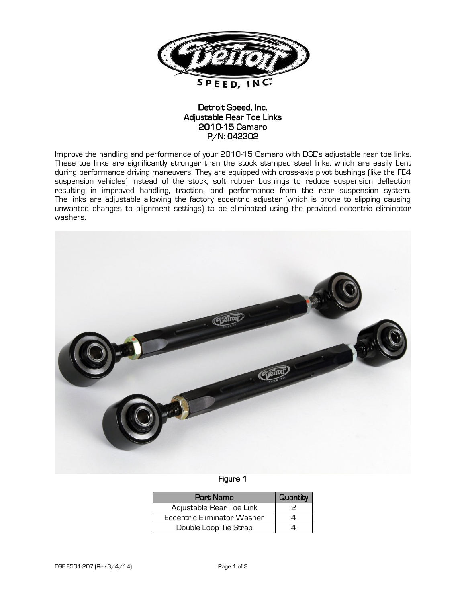

## Detroit Speed, Inc. Adjustable Rear Toe Links 2010-15 Camaro P/N: 042302

Improve the handling and performance of your 2010-15 Camaro with DSE's adjustable rear toe links. These toe links are significantly stronger than the stock stamped steel links, which are easily bent during performance driving maneuvers. They are equipped with cross-axis pivot bushings (like the FE4 suspension vehicles) instead of the stock, soft rubber bushings to reduce suspension deflection resulting in improved handling, traction, and performance from the rear suspension system. The links are adjustable allowing the factory eccentric adjuster (which is prone to slipping causing unwanted changes to alignment settings) to be eliminated using the provided eccentric eliminator washers.



## Figure 1

| <b>Part Name</b>            | Quantity |
|-----------------------------|----------|
| Adjustable Rear Toe Link    |          |
| Eccentric Eliminator Washer |          |
| Double Loop Tie Strap       |          |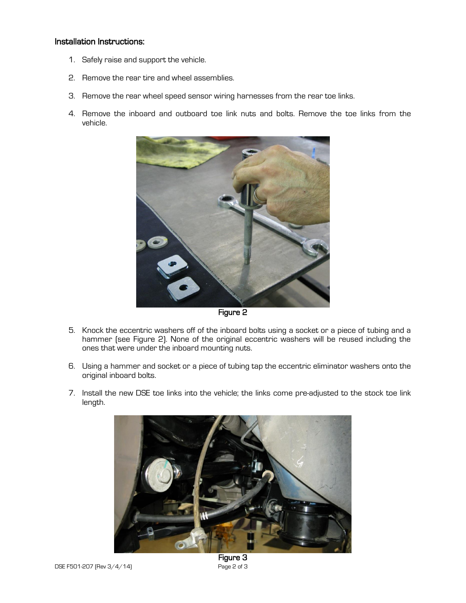## Installation Instructions:

- 1. Safely raise and support the vehicle.
- 2. Remove the rear tire and wheel assemblies.
- 3. Remove the rear wheel speed sensor wiring harnesses from the rear toe links.
- 4. Remove the inboard and outboard toe link nuts and bolts. Remove the toe links from the vehicle.



Figure 2

- 5. Knock the eccentric washers off of the inboard bolts using a socket or a piece of tubing and a hammer (see Figure 2). None of the original eccentric washers will be reused including the ones that were under the inboard mounting nuts.
- 6. Using a hammer and socket or a piece of tubing tap the eccentric eliminator washers onto the original inboard bolts.
- 7. Install the new DSE toe links into the vehicle; the links come pre-adjusted to the stock toe link length.



Figure 3